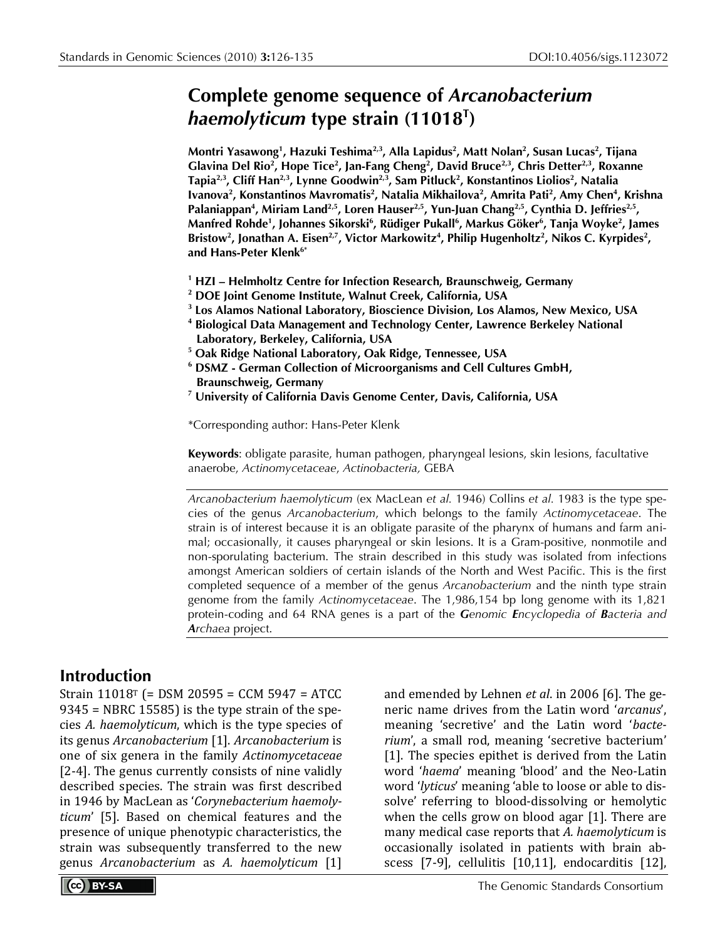# **Complete genome sequence of** *Arcanobacterium haemolyticum* **type strain (11018T )**

**Montri Yasawong1 , Hazuki Teshima2,3, Alla Lapidus2 , Matt Nolan2 , Susan Lucas2 , Tijana Glavina Del Rio2 , Hope Tice2 , Jan-Fang Cheng2 , David Bruce2,3, Chris Detter2,3, Roxanne Tapia2,3, Cliff Han2,3, Lynne Goodwin2,3, Sam Pitluck2 , Konstantinos Liolios2 , Natalia**  Ivanova<sup>2</sup>, Konstantinos Mavromatis<sup>2</sup>, Natalia Mikhailova<sup>2</sup>, Amrita Pati<sup>2</sup>, Amy Chen<sup>4</sup>, Krishna Palaniappan<sup>4</sup>, Miriam Land<sup>2,5</sup>, Loren Hauser<sup>2,5</sup>, Yun-Juan Chang<sup>2,5</sup>, Cynthia D. Jeffries<sup>2,5</sup>, **Manfred Rohde1 , Johannes Sikorski6 , Rüdiger Pukall6 , Markus Göker6 , Tanja Woyke2 , James** Bristow<sup>2</sup>, Jonathan A. Eisen<sup>2,7</sup>, Victor Markowitz<sup>4</sup>, Philip Hugenholtz<sup>2</sup>, Nikos C. Kyrpides<sup>2</sup>, **and Hans-Peter Klenk6\***

- **<sup>1</sup> HZI Helmholtz Centre for Infection Research, Braunschweig, Germany**
- **<sup>2</sup> DOE Joint Genome Institute, Walnut Creek, California, USA**
- **<sup>3</sup> Los Alamos National Laboratory, Bioscience Division, Los Alamos, New Mexico, USA**
- **<sup>4</sup> Biological Data Management and Technology Center, Lawrence Berkeley National Laboratory, Berkeley, California, USA**
- **<sup>5</sup> Oak Ridge National Laboratory, Oak Ridge, Tennessee, USA**
- **<sup>6</sup> DSMZ German Collection of Microorganisms and Cell Cultures GmbH, Braunschweig, Germany**
- **<sup>7</sup> University of California Davis Genome Center, Davis, California, USA**

\*Corresponding author: Hans-Peter Klenk

**Keywords**: obligate parasite, human pathogen, pharyngeal lesions, skin lesions, facultative anaerobe, *Actinomycetaceae*, *Actinobacteria,* GEBA

*Arcanobacterium haemolyticum* (ex MacLean *et al.* 1946) Collins *et al.* 1983 is the type species of the genus *Arcanobacterium*, which belongs to the family *Actinomycetaceae*. The strain is of interest because it is an obligate parasite of the pharynx of humans and farm animal; occasionally, it causes pharyngeal or skin lesions. It is a Gram-positive, nonmotile and non-sporulating bacterium. The strain described in this study was isolated from infections amongst American soldiers of certain islands of the North and West Pacific. This is the first completed sequence of a member of the genus *Arcanobacterium* and the ninth type strain genome from the family *Actinomycetaceae*. The 1,986,154 bp long genome with its 1,821 protein-coding and 64 RNA genes is a part of the *Genomic Encyclopedia of Bacteria and Archaea* project.

# **Introduction**

Strain 11018T (= DSM 20595 = CCM 5947 = ATCC 9345 = NBRC 15585) is the type strain of the species *A. haemolyticum*, which is the type species of its genus *Arcanobacterium* [1]. *Arcanobacterium* is one of six genera in the family *Actinomycetaceae* [2-4]. The genus currently consists of nine validly described species. The strain was first described in 1946 by MacLean as '*Corynebacterium haemolyticum*' [5]. Based on chemical features and the presence of unique phenotypic characteristics, the strain was subsequently transferred to the new genus *Arcanobacterium* as *A. haemolyticum* [1]

and emended by Lehnen *et al*. in 2006 [6]. The generic name drives from the Latin word '*arcanus*', meaning 'secretive' and the Latin word '*bacterium*', a small rod, meaning 'secretive bacterium' [1]. The species epithet is derived from the Latin word '*haema*' meaning 'blood' and the Neo-Latin word '*lyticus*' meaning 'able to loose or able to dissolve' referring to blood-dissolving or hemolytic when the cells grow on blood agar [1]. There are many medical case reports that *A. haemolyticum* is occasionally isolated in patients with brain abscess [7-9], cellulitis [10,11], endocarditis [12],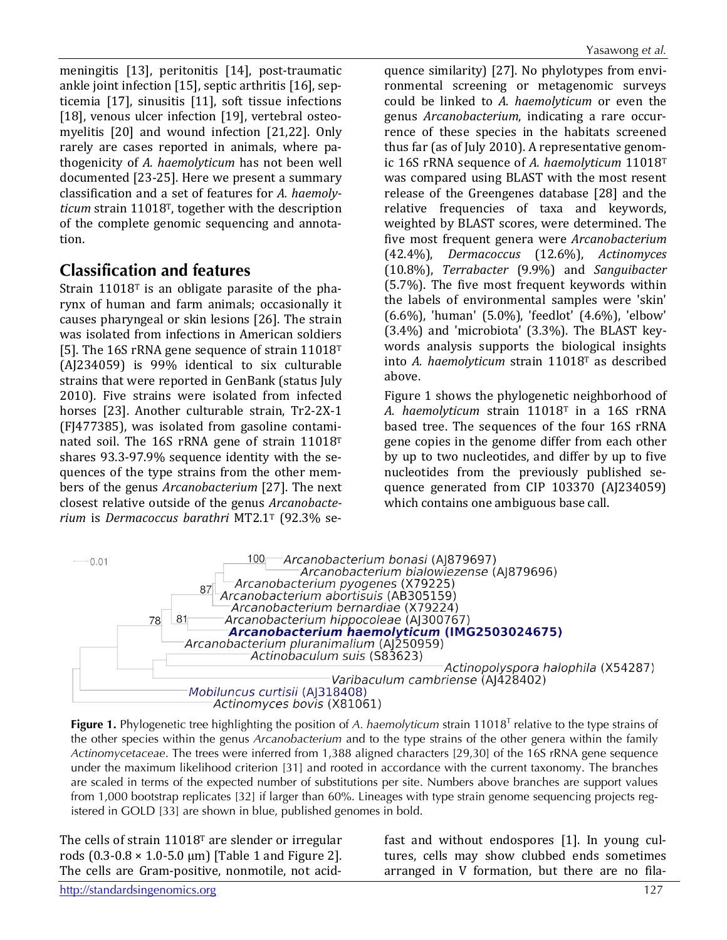meningitis [13], peritonitis [14], post-traumatic ankle joint infection [15], septic arthritis [16], septicemia [17], sinusitis [11], soft tissue infections [18], venous ulcer infection [19], vertebral osteomyelitis [20] and wound infection [21,22]. Only rarely are cases reported in animals, where pathogenicity of *A. haemolyticum* has not been well documented [23-25]. Here we present a summary classification and a set of features for *A. haemolyticum* strain 11018T, together with the description of the complete genomic sequencing and annotation.

# **Classification and features**

Strain 11018T is an obligate parasite of the pharynx of human and farm animals; occasionally it causes pharyngeal or skin lesions [26]. The strain was isolated from infections in American soldiers [5]. The 16S rRNA gene sequence of strain 11018<sup>T</sup> (AJ234059) is 99% identical to six culturable strains that were reported in GenBank (status July 2010). Five strains were isolated from infected horses [23]. Another culturable strain, Tr2-2X-1 (FJ477385), was isolated from gasoline contaminated soil. The 16S rRNA gene of strain 11018T shares 93.3-97.9% sequence identity with the sequences of the type strains from the other members of the genus *Arcanobacterium* [27]. The next closest relative outside of the genus *Arcanobacterium* is *Dermacoccus barathri* MT2.1T (92.3% se-

quence similarity) [27]. No phylotypes from environmental screening or metagenomic surveys could be linked to *A. haemolyticum* or even the genus *Arcanobacterium*, indicating a rare occurrence of these species in the habitats screened thus far (as of July 2010). A representative genomic 16S rRNA sequence of *A. haemolyticum* 11018T was compared using BLAST with the most resent release of the Greengenes database [28] and the relative frequencies of taxa and keywords, weighted by BLAST scores, were determined. The five most frequent genera were *Arcanobacterium* (42.4%), *Dermacoccus* (12.6%), *Actinomyces* (10.8%), *Terrabacter* (9.9%) and *Sanguibacter* (5.7%). The five most frequent keywords within the labels of environmental samples were 'skin' (6.6%), 'human' (5.0%), 'feedlot' (4.6%), 'elbow' (3.4%) and 'microbiota' (3.3%). The BLAST keywords analysis supports the biological insights into *A. haemolyticum* strain 11018T as described above.

Figure 1 shows the phylogenetic neighborhood of *A. haemolyticum* strain 11018T in a 16S rRNA based tree. The sequences of the four 16S rRNA gene copies in the genome differ from each other by up to two nucleotides, and differ by up to five nucleotides from the previously published sequence generated from CIP 103370 (AJ234059) which contains one ambiguous base call.



**Figure 1.** Phylogenetic tree highlighting the position of *A. haemolyticum* strain 11018T relative to the type strains of the other species within the genus *Arcanobacterium* and to the type strains of the other genera within the family *Actinomycetaceae*. The trees were inferred from 1,388 aligned characters [29,30] of the 16S rRNA gene sequence under the maximum likelihood criterion [31] and rooted in accordance with the current taxonomy. The branches are scaled in terms of the expected number of substitutions per site. Numbers above branches are support values from 1,000 bootstrap replicates [32] if larger than 60%. Lineages with type strain genome sequencing projects registered in GOLD [33] are shown in blue, published genomes in bold.

The cells of strain 11018T are slender or irregular rods  $(0.3-0.8 \times 1.0-5.0 \mu m)$  [Table 1 and Figure 2]. The cells are Gram-positive, nonmotile, not acidfast and without endospores [1]. In young cultures, cells may show clubbed ends sometimes arranged in V formation, but there are no fila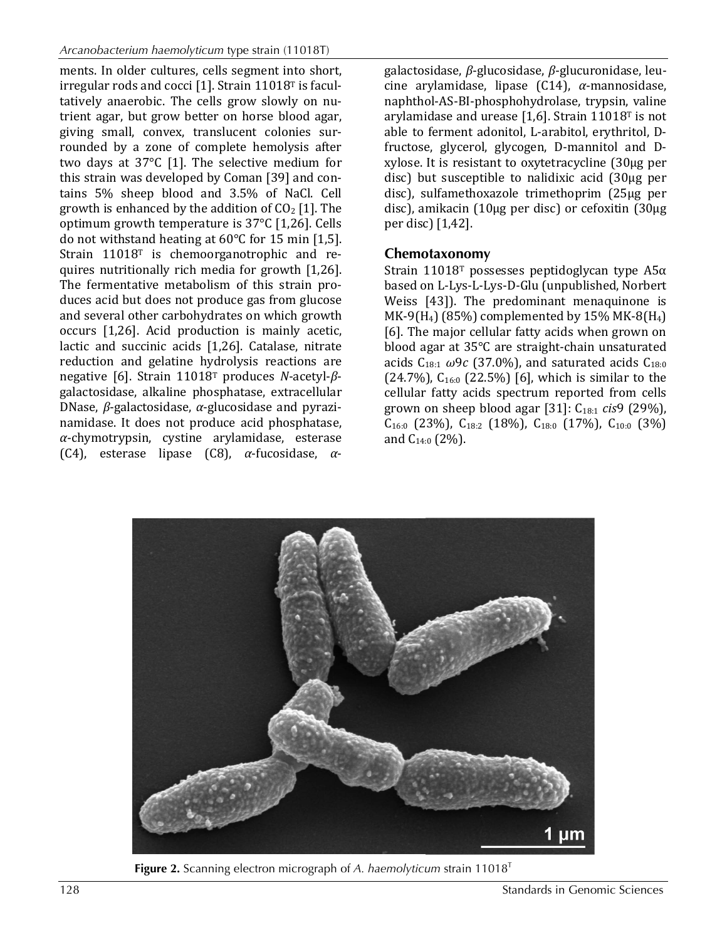ments. In older cultures, cells segment into short, irregular rods and cocci [1]. Strain 11018T is facultatively anaerobic. The cells grow slowly on nutrient agar, but grow better on horse blood agar, giving small, convex, translucent colonies surrounded by a zone of complete hemolysis after two days at 37°C [1]. The selective medium for this strain was developed by Coman [39] and contains 5% sheep blood and 3.5% of NaCl. Cell growth is enhanced by the addition of  $CO<sub>2</sub>$  [1]. The optimum growth temperature is 37°C [1,26]. Cells do not withstand heating at 60°C for 15 min [1,5]. Strain 11018<sup>T</sup> is chemoorganotrophic and requires nutritionally rich media for growth [1,26]. The fermentative metabolism of this strain produces acid but does not produce gas from glucose and several other carbohydrates on which growth occurs [1,26]. Acid production is mainly acetic, lactic and succinic acids [1,26]. Catalase, nitrate reduction and gelatine hydrolysis reactions are negative [6]. Strain 11018T produces *N*-acetyl-*β*galactosidase, alkaline phosphatase, extracellular DNase, *β*-galactosidase, *α*-glucosidase and pyrazinamidase. It does not produce acid phosphatase, *α*-chymotrypsin, cystine arylamidase, esterase (C4), esterase lipase (C8), *α*-fucosidase, *α*-

galactosidase, *β*-glucosidase, *β*-glucuronidase, leucine arylamidase, lipase (C14), *α*-mannosidase, naphthol-AS-BI-phosphohydrolase, trypsin, valine arylamidase and urease [1,6]. Strain 11018T is not able to ferment adonitol, L-arabitol, erythritol, Dfructose, glycerol, glycogen, D-mannitol and Dxylose. It is resistant to oxytetracycline (30µg per disc) but susceptible to nalidixic acid (30µg per disc), sulfamethoxazole trimethoprim (25µg per disc), amikacin (10µg per disc) or cefoxitin (30µg per disc) [1,42].

### **Chemotaxonomy**

Strain 11018<sup>T</sup> possesses peptidoglycan type  $A5α$ based on L-Lys-L-Lys-D-Glu (unpublished, Norbert Weiss [43]). The predominant menaquinone is MK-9(H<sub>4</sub>) (85%) complemented by 15% MK-8(H<sub>4</sub>) [6]. The major cellular fatty acids when grown on blood agar at 35°C are straight-chain unsaturated acids  $C_{18:1}$   $\omega$ 9*c* (37.0%), and saturated acids  $C_{18:0}$  $(24.7%)$ ,  $C_{16:0}$   $(22.5%)$  [6], which is similar to the cellular fatty acids spectrum reported from cells grown on sheep blood agar [31]: C18:1 *cis*9 (29%),  $C_{16:0}$  (23%),  $C_{18:2}$  (18%),  $C_{18:0}$  (17%),  $C_{10:0}$  (3%) and  $C_{14:0}$  (2%).



**Figure 2.** Scanning electron micrograph of *A. haemolyticum* strain 11018T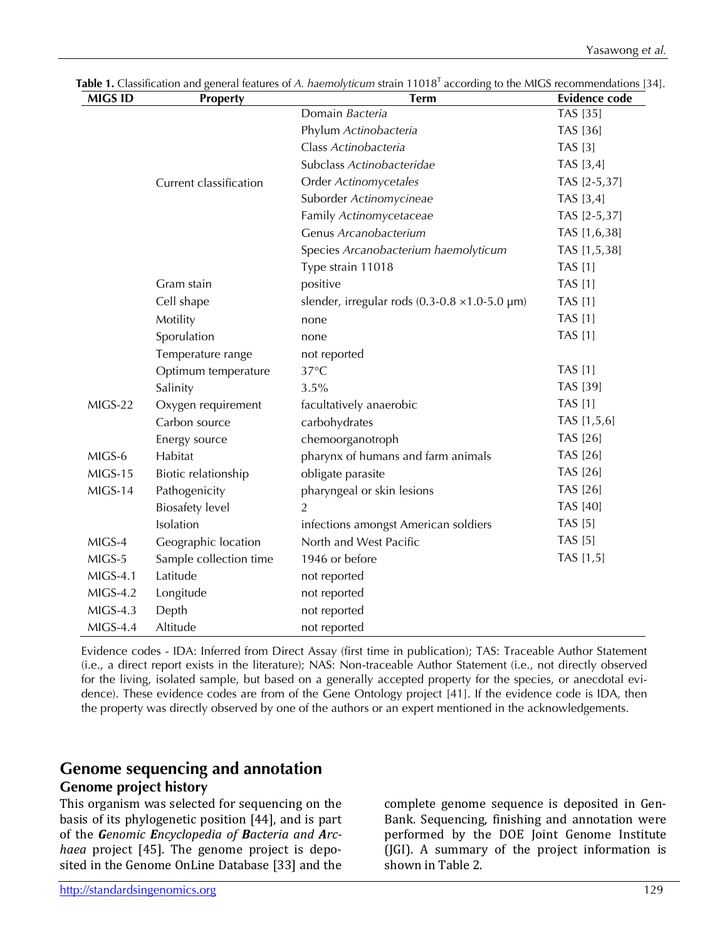| <b>MIGS ID</b> | <b>Property</b>                   | <b>Term</b>                                                  | <b>Evidence code</b> |
|----------------|-----------------------------------|--------------------------------------------------------------|----------------------|
|                |                                   | Domain Bacteria                                              | <b>TAS</b> [35]      |
|                |                                   | Phylum Actinobacteria                                        | TAS [36]             |
|                |                                   | Class Actinobacteria                                         | <b>TAS</b> [3]       |
|                |                                   | Subclass Actinobacteridae                                    | TAS [3,4]            |
|                | Current classification            | Order Actinomycetales                                        | TAS [2-5,37]         |
|                |                                   | Suborder Actinomycineae                                      | TAS [3,4]            |
|                |                                   | Family Actinomycetaceae                                      | TAS [2-5,37]         |
|                |                                   | Genus Arcanobacterium                                        | TAS [1,6,38]         |
|                |                                   | Species Arcanobacterium haemolyticum                         | TAS [1,5,38]         |
|                |                                   | Type strain 11018                                            | <b>TAS</b> [1]       |
|                | Gram stain                        | positive                                                     | <b>TAS</b> [1]       |
|                | Cell shape                        | slender, irregular rods $(0.3\n-0.8 \times 1.0\n-5.0 \mu m)$ | <b>TAS</b> [1]       |
|                | Motility                          | none                                                         | <b>TAS</b> [1]       |
|                | Sporulation                       | none                                                         | <b>TAS</b> [1]       |
|                | Temperature range                 | not reported                                                 |                      |
|                | Optimum temperature               | $37^{\circ}$ C                                               | <b>TAS</b> [1]       |
|                | Salinity                          | 3.5%                                                         | TAS [39]             |
| MIGS-22        | Oxygen requirement                | facultatively anaerobic                                      | <b>TAS</b> [1]       |
|                | Carbon source                     | carbohydrates                                                | TAS [1,5,6]          |
|                | chemoorganotroph<br>Energy source |                                                              | TAS [26]             |
| MIGS-6         | Habitat                           | pharynx of humans and farm animals                           | TAS [26]             |
| MIGS-15        | Biotic relationship               | obligate parasite                                            | TAS [26]             |
| MIGS-14        | Pathogenicity                     | pharyngeal or skin lesions                                   | TAS [26]             |
|                | <b>Biosafety</b> level            | $\mathfrak{D}$                                               | <b>TAS</b> [40]      |
|                | Isolation                         | infections amongst American soldiers                         | <b>TAS</b> [5]       |
| MIGS-4         | Geographic location               | North and West Pacific                                       | <b>TAS</b> [5]       |
| MIGS-5         | Sample collection time            | 1946 or before                                               | TAS [1,5]            |
| $MIGS-4.1$     | Latitude                          | not reported                                                 |                      |
| $MIGS-4.2$     | Longitude                         | not reported                                                 |                      |
| $MIGS-4.3$     | Depth                             | not reported                                                 |                      |
| $MIGS-4.4$     | Altitude                          | not reported                                                 |                      |

Table 1. Classification and general features of *A. haemolyticum* strain 11018<sup>T</sup> according to the MIGS recommendations [34].

Evidence codes - IDA: Inferred from Direct Assay (first time in publication); TAS: Traceable Author Statement (i.e., a direct report exists in the literature); NAS: Non-traceable Author Statement (i.e., not directly observed for the living, isolated sample, but based on a generally accepted property for the species, or anecdotal evidence). These evidence codes are from of the Gene Ontology project [41]. If the evidence code is IDA, then the property was directly observed by one of the authors or an expert mentioned in the acknowledgements.

### **Genome sequencing and annotation Genome project history**

This organism was selected for sequencing on the basis of its phylogenetic position [44], and is part of the *Genomic Encyclopedia of Bacteria and Archaea* project [45]. The genome project is deposited in the Genome OnLine Database [33] and the

complete genome sequence is deposited in Gen-Bank. Sequencing, finishing and annotation were performed by the DOE Joint Genome Institute (JGI). A summary of the project information is shown in Table 2.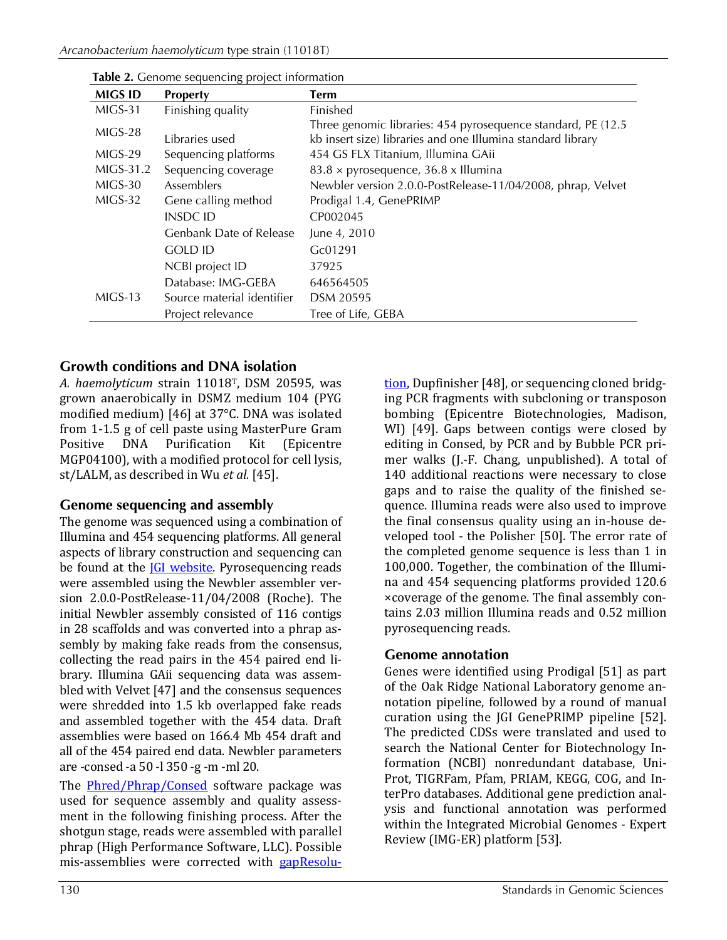| <b>MIGS ID</b> | <b>Property</b>            | <b>Term</b>                                                                                                                  |
|----------------|----------------------------|------------------------------------------------------------------------------------------------------------------------------|
| MIGS-31        | Finishing quality          | Finished                                                                                                                     |
| $MIGS-28$      | Libraries used             | Three genomic libraries: 454 pyrosequence standard, PE (12.5)<br>kb insert size) libraries and one Illumina standard library |
| $MIGS-29$      | Sequencing platforms       | 454 GS FLX Titanium, Illumina GAii                                                                                           |
| MIGS-31.2      | Sequencing coverage        | $83.8 \times$ pyrosequence, 36.8 x Illumina                                                                                  |
| MIGS-30        | <b>Assemblers</b>          | Newbler version 2.0.0-PostRelease-11/04/2008, phrap, Velvet                                                                  |
| MIGS-32        | Gene calling method        | Prodigal 1.4, GenePRIMP                                                                                                      |
|                | INSDC ID                   | CP002045                                                                                                                     |
|                | Genbank Date of Release    | June 4, 2010                                                                                                                 |
|                | <b>GOLD ID</b>             | Gc01291                                                                                                                      |
|                | NCBI project ID            | 37925                                                                                                                        |
|                | Database: IMG-GEBA         | 646564505                                                                                                                    |
| $MIGS-13$      | Source material identifier | DSM 20595                                                                                                                    |
|                | Project relevance          | Tree of Life, GEBA                                                                                                           |

**Table 2.** Genome sequencing project information

### **Growth conditions and DNA isolation**

*A. haemolyticum* strain 11018T, DSM 20595, was grown anaerobically in DSMZ medium 104 (PYG modified medium) [46] at 37°C. DNA was isolated from 1-1.5 g of cell paste using MasterPure Gram Positive DNA Purification Kit (Epicentre MGP04100), with a modified protocol for cell lysis, st/LALM, as described in Wu *et al.* [45].

#### **Genome sequencing and assembly**

The genome was sequenced using a combination of Illumina and 454 sequencing platforms. All general aspects of library construction and sequencing can be found at the **IGI website**. Pyrosequencing reads were assembled using the Newbler assembler version 2.0.0-PostRelease-11/04/2008 (Roche). The initial Newbler assembly consisted of 116 contigs in 28 scaffolds and was converted into a phrap assembly by making fake reads from the consensus, collecting the read pairs in the 454 paired end library. Illumina GAii sequencing data was assembled with Velvet [47] and the consensus sequences were shredded into 1.5 kb overlapped fake reads and assembled together with the 454 data. Draft assemblies were based on 166.4 Mb 454 draft and all of the 454 paired end data. Newbler parameters are -consed -a 50 -l 350 -g -m -ml 20.

The [Phred/Phrap/Consed](http://www.phrap.com/) software package was used for sequence assembly and quality assessment in the following finishing process. After the shotgun stage, reads were assembled with parallel phrap (High Performance Software, LLC). Possible mis-assemblies were corrected with **[gapResolu-](http://www.jgi.doe.gov/)**

[tion,](http://www.jgi.doe.gov/) Dupfinisher [48], or sequencing cloned bridging PCR fragments with subcloning or transposon bombing (Epicentre Biotechnologies, Madison, WI) [49]. Gaps between contigs were closed by editing in Consed, by PCR and by Bubble PCR primer walks (J.-F. Chang, unpublished). A total of 140 additional reactions were necessary to close gaps and to raise the quality of the finished sequence. Illumina reads were also used to improve the final consensus quality using an in-house developed tool - the Polisher [50]. The error rate of the completed genome sequence is less than 1 in 100,000. Together, the combination of the Illumina and 454 sequencing platforms provided 120.6 ×coverage of the genome. The final assembly contains 2.03 million Illumina reads and 0.52 million pyrosequencing reads.

#### **Genome annotation**

Genes were identified using Prodigal [51] as part of the Oak Ridge National Laboratory genome annotation pipeline, followed by a round of manual curation using the JGI GenePRIMP pipeline [52]. The predicted CDSs were translated and used to search the National Center for Biotechnology Information (NCBI) nonredundant database, Uni-Prot, TIGRFam, Pfam, PRIAM, KEGG, COG, and InterPro databases. Additional gene prediction analysis and functional annotation was performed within the Integrated Microbial Genomes - Expert Review (IMG-ER) platform [53].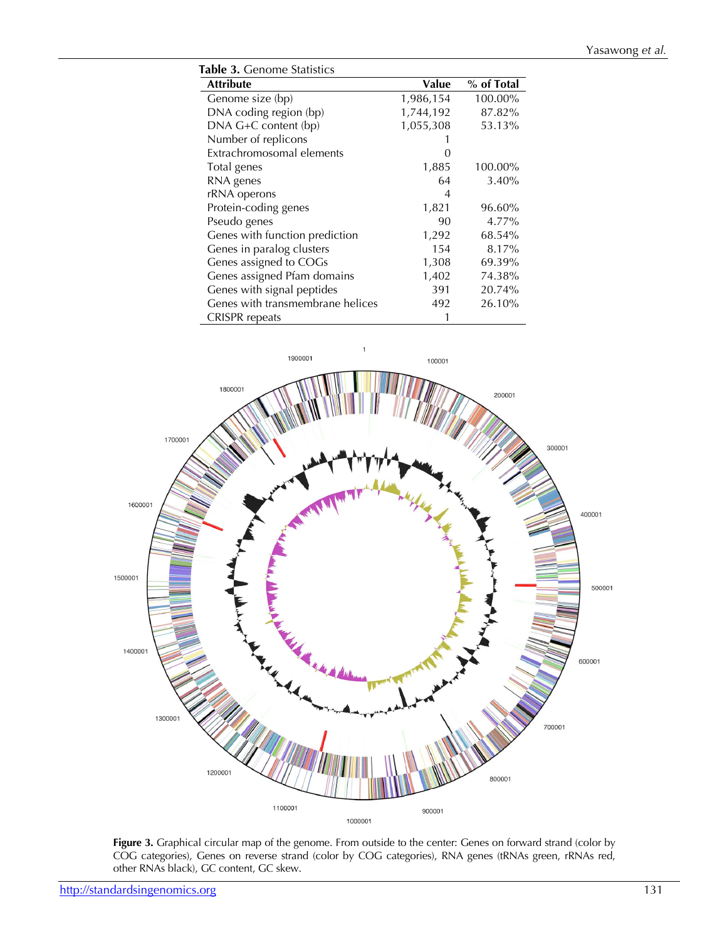| Table 3. Genome Statistics       |           |            |  |  |
|----------------------------------|-----------|------------|--|--|
| <b>Attribute</b>                 | Value     | % of Total |  |  |
| Genome size (bp)                 | 1,986,154 | 100.00%    |  |  |
| DNA coding region (bp)           | 1,744,192 | 87.82%     |  |  |
| DNA G+C content (bp)             | 1,055,308 | 53.13%     |  |  |
| Number of replicons              |           |            |  |  |
| Extrachromosomal elements        |           |            |  |  |
| Total genes                      | 1,885     | 100.00%    |  |  |
| RNA genes                        | 64        | 3.40%      |  |  |
| rRNA operons                     | 4         |            |  |  |
| Protein-coding genes             | 1,821     | 96.60%     |  |  |
| Pseudo genes                     | 90        | 4.77%      |  |  |
| Genes with function prediction   | 1,292     | 68.54%     |  |  |
| Genes in paralog clusters        | 154       | 8.17%      |  |  |
| Genes assigned to COGs           | 1,308     | 69.39%     |  |  |
| Genes assigned Pfam domains      | 1,402     | 74.38%     |  |  |
| Genes with signal peptides       | 391       | 20.74%     |  |  |
| Genes with transmembrane helices | 492       | 26.10%     |  |  |
| <b>CRISPR</b> repeats            |           |            |  |  |



**Figure 3.** Graphical circular map of the genome. From outside to the center: Genes on forward strand (color by COG categories), Genes on reverse strand (color by COG categories), RNA genes (tRNAs green, rRNAs red, other RNAs black), GC content, GC skew.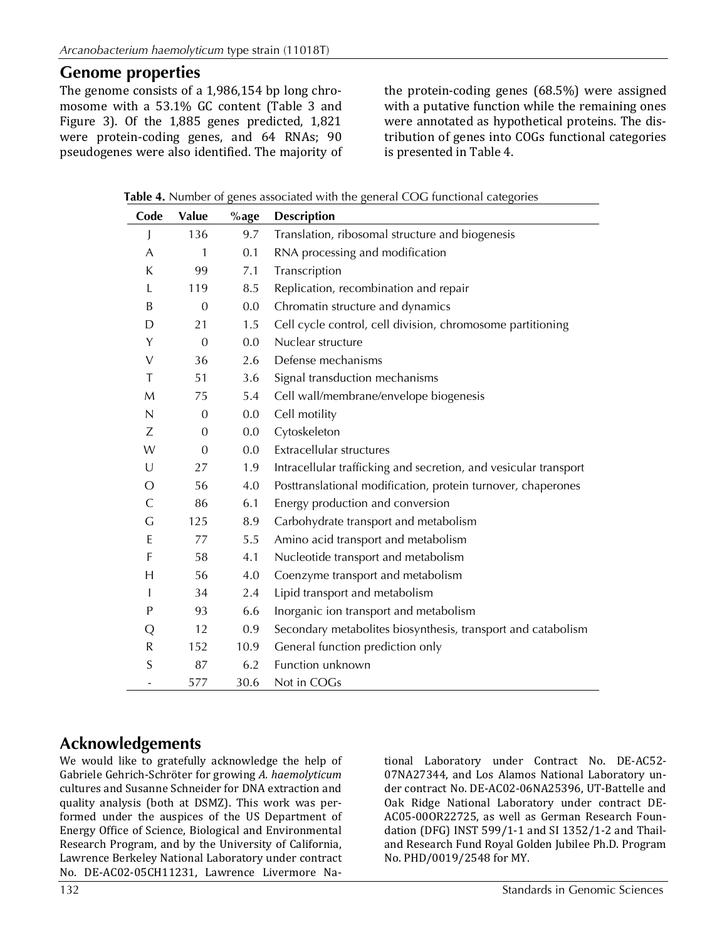### **Genome properties**

The genome consists of a 1,986,154 bp long chromosome with a 53.1% GC content (Table 3 and Figure 3). Of the 1,885 genes predicted, 1,821 were protein-coding genes, and 64 RNAs; 90 pseudogenes were also identified. The majority of the protein-coding genes (68.5%) were assigned with a putative function while the remaining ones were annotated as hypothetical proteins. The distribution of genes into COGs functional categories is presented in Table 4.

**Table 4.** Number of genes associated with the general COG functional categories

| Code       | Value            | $%$ age | <b>Description</b>                                               |
|------------|------------------|---------|------------------------------------------------------------------|
| J          | 136              | 9.7     | Translation, ribosomal structure and biogenesis                  |
| A          | 1                | 0.1     | RNA processing and modification                                  |
| K          | 99               | 7.1     | Transcription                                                    |
| L          | 119              | 8.5     | Replication, recombination and repair                            |
| B          | $\overline{0}$   | 0.0     | Chromatin structure and dynamics                                 |
| D          | 21               | 1.5     | Cell cycle control, cell division, chromosome partitioning       |
| Y          | $\mathbf{0}$     | 0.0     | Nuclear structure                                                |
| V          | 36               | 2.6     | Defense mechanisms                                               |
| T          | 51               | 3.6     | Signal transduction mechanisms                                   |
| M          | 75               | 5.4     | Cell wall/membrane/envelope biogenesis                           |
| N          | $\boldsymbol{0}$ | 0.0     | Cell motility                                                    |
| Ζ          | $\overline{0}$   | 0.0     | Cytoskeleton                                                     |
| W          | $\overline{0}$   | 0.0     | Extracellular structures                                         |
| U          | 27               | 1.9     | Intracellular trafficking and secretion, and vesicular transport |
| $\epsilon$ | 56               | 4.0     | Posttranslational modification, protein turnover, chaperones     |
| С          | 86               | 6.1     | Energy production and conversion                                 |
| G          | 125              | 8.9     | Carbohydrate transport and metabolism                            |
| E          | 77               | 5.5     | Amino acid transport and metabolism                              |
| F          | 58               | 4.1     | Nucleotide transport and metabolism                              |
| H          | 56               | 4.0     | Coenzyme transport and metabolism                                |
| T          | 34               | 2.4     | Lipid transport and metabolism                                   |
| P          | 93               | 6.6     | Inorganic ion transport and metabolism                           |
| Q          | 12               | 0.9     | Secondary metabolites biosynthesis, transport and catabolism     |
| ${\sf R}$  | 152              | 10.9    | General function prediction only                                 |
| S          | 87               | 6.2     | Function unknown                                                 |
|            | 577              | 30.6    | Not in COGs                                                      |

# **Acknowledgements**

We would like to gratefully acknowledge the help of Gabriele Gehrich-Schröter for growing *A. haemolyticum* cultures and Susanne Schneider for DNA extraction and quality analysis (both at DSMZ). This work was performed under the auspices of the US Department of Energy Office of Science, Biological and Environmental Research Program, and by the University of California, Lawrence Berkeley National Laboratory under contract No. DE-AC02-05CH11231, Lawrence Livermore National Laboratory under Contract No. DE-AC52- 07NA27344, and Los Alamos National Laboratory under contract No. DE-AC02-06NA25396, UT-Battelle and Oak Ridge National Laboratory under contract DE-AC05-00OR22725, as well as German Research Foundation (DFG) INST 599/1-1 and SI 1352/1-2 and Thailand Research Fund Royal Golden Jubilee Ph.D. Program No. PHD/0019/2548 for MY.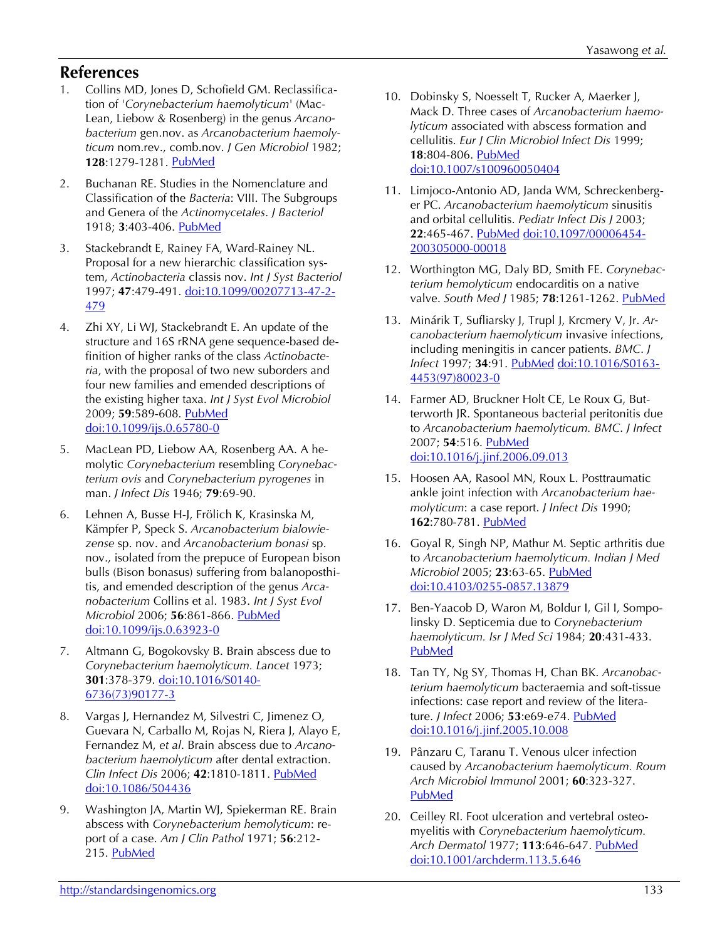# **References**

- 1. Collins MD, Jones D, Schofield GM. Reclassification of '*Corynebacterium haemolyticum*' (Mac-Lean, Liebow & Rosenberg) in the genus *Arcanobacterium* gen.nov. as *Arcanobacterium haemolyticum* nom.rev., comb.nov. *J Gen Microbiol* 1982; **128**:1279-1281. [PubMed](http://www.ncbi.nlm.nih.gov/entrez/query.fcgi?cmd=Retrieve&db=PubMed&list_uids=7119737&dopt=Abstract)
- 2. Buchanan RE. Studies in the Nomenclature and Classification of the *Bacteria*: VIII. The Subgroups and Genera of the *Actinomycetales*. *J Bacteriol* 1918; **3**:403-406. [PubMed](http://www.ncbi.nlm.nih.gov/entrez/query.fcgi?cmd=Retrieve&db=PubMed&list_uids=16558803&dopt=Abstract)
- 3. Stackebrandt E, Rainey FA, Ward-Rainey NL. Proposal for a new hierarchic classification system, *Actinobacteria* classis nov. *Int J Syst Bacteriol* 1997; **47**:479-491. [doi:10.1099/00207713-47-2-](http://dx.doi.org/10.1099/00207713-47-2-479) [479](http://dx.doi.org/10.1099/00207713-47-2-479)
- 4. Zhi XY, Li WJ, Stackebrandt E. An update of the structure and 16S rRNA gene sequence-based definition of higher ranks of the class *Actinobacteria*, with the proposal of two new suborders and four new families and emended descriptions of the existing higher taxa. *Int J Syst Evol Microbiol* 2009; **59**:589-608. [PubMed](http://www.ncbi.nlm.nih.gov/entrez/query.fcgi?cmd=Retrieve&db=PubMed&list_uids=19244447&dopt=Abstract) [doi:10.1099/ijs.0.65780-0](http://dx.doi.org/10.1099/ijs.0.65780-0)
- 5. MacLean PD, Liebow AA, Rosenberg AA. A hemolytic *Corynebacterium* resembling *Corynebacterium ovis* and *Corynebacterium pyrogenes* in man. *J Infect Dis* 1946; **79**:69-90.
- 6. Lehnen A, Busse H-J, Frölich K, Krasinska M, Kämpfer P, Speck S. *Arcanobacterium bialowiezense* sp. nov. and *Arcanobacterium bonasi* sp. nov., isolated from the prepuce of European bison bulls (Bison bonasus) suffering from balanoposthitis, and emended description of the genus *Arcanobacterium* Collins et al. 1983. *Int J Syst Evol Microbiol* 2006; **56**:861-866. [PubMed](http://www.ncbi.nlm.nih.gov/entrez/query.fcgi?cmd=Retrieve&db=PubMed&list_uids=16585707&dopt=Abstract) [doi:10.1099/ijs.0.63923-0](http://dx.doi.org/10.1099/ijs.0.63923-0)
- 7. Altmann G, Bogokovsky B. Brain abscess due to *Corynebacterium haemolyticum. Lancet* 1973; **301**:378-379. [doi:10.1016/S0140-](http://dx.doi.org/10.1016/S0140-6736(73)90177-3) [6736\(73\)90177-3](http://dx.doi.org/10.1016/S0140-6736(73)90177-3)
- 8. Vargas J, Hernandez M, Silvestri C, Jimenez O, Guevara N, Carballo M, Rojas N, Riera J, Alayo E, Fernandez M, *et al*. Brain abscess due to *Arcanobacterium haemolyticum* after dental extraction. *Clin Infect Dis* 2006; **42**:1810-1811. [PubMed](http://www.ncbi.nlm.nih.gov/entrez/query.fcgi?cmd=Retrieve&db=PubMed&list_uids=16705595&dopt=Abstract) [doi:10.1086/504436](http://dx.doi.org/10.1086/504436)
- 9. Washington JA, Martin WJ, Spiekerman RE. Brain abscess with *Corynebacterium hemolyticum*: report of a case. *Am J Clin Pathol* 1971; **56**:212- 215. [PubMed](http://www.ncbi.nlm.nih.gov/entrez/query.fcgi?cmd=Retrieve&db=PubMed&list_uids=5567728&dopt=Abstract)
- 10. Dobinsky S, Noesselt T, Rucker A, Maerker J, Mack D. Three cases of *Arcanobacterium haemolyticum* associated with abscess formation and cellulitis. *Eur J Clin Microbiol Infect Dis* 1999; **18**:804-806. [PubMed](http://www.ncbi.nlm.nih.gov/entrez/query.fcgi?cmd=Retrieve&db=PubMed&list_uids=10614955&dopt=Abstract) [doi:10.1007/s100960050404](http://dx.doi.org/10.1007/s100960050404)
- 11. Limjoco-Antonio AD, Janda WM, Schreckenberger PC. *Arcanobacterium haemolyticum* sinusitis and orbital cellulitis. *Pediatr Infect Dis J* 2003; **22**:465-467. [PubMed](http://www.ncbi.nlm.nih.gov/entrez/query.fcgi?cmd=Retrieve&db=PubMed&list_uids=12797314&dopt=Abstract) [doi:10.1097/00006454-](http://dx.doi.org/10.1097/00006454-200305000-00018) [200305000-00018](http://dx.doi.org/10.1097/00006454-200305000-00018)
- 12. Worthington MG, Daly BD, Smith FE. *Corynebacterium hemolyticum* endocarditis on a native valve. *South Med J* 1985; **78**:1261-1262. [PubMed](http://www.ncbi.nlm.nih.gov/entrez/query.fcgi?cmd=Retrieve&db=PubMed&list_uids=4049050&dopt=Abstract)
- 13. Minárik T, Sufliarsky J, Trupl J, Krcmery V, Jr. *Arcanobacterium haemolyticum* invasive infections, including meningitis in cancer patients. *BMC*. *J Infect* 1997; **34**:91. [PubMed](http://www.ncbi.nlm.nih.gov/entrez/query.fcgi?cmd=Retrieve&db=PubMed&list_uids=9120339&dopt=Abstract) [doi:10.1016/S0163-](http://dx.doi.org/10.1016/S0163-4453(97)80023-0) [4453\(97\)80023-0](http://dx.doi.org/10.1016/S0163-4453(97)80023-0)
- 14. Farmer AD, Bruckner Holt CE, Le Roux G, Butterworth JR. Spontaneous bacterial peritonitis due to *Arcanobacterium haemolyticum. BMC*. *J Infect* 2007; **54**:516. [PubMed](http://www.ncbi.nlm.nih.gov/entrez/query.fcgi?cmd=Retrieve&db=PubMed&list_uids=17087997&dopt=Abstract) [doi:10.1016/j.jinf.2006.09.013](http://dx.doi.org/10.1016/j.jinf.2006.09.013)
- 15. Hoosen AA, Rasool MN, Roux L. Posttraumatic ankle joint infection with *Arcanobacterium haemolyticum*: a case report. *J Infect Dis* 1990; **162**:780-781. [PubMed](http://www.ncbi.nlm.nih.gov/entrez/query.fcgi?cmd=Retrieve&db=PubMed&list_uids=2117630&dopt=Abstract)
- 16. Goyal R, Singh NP, Mathur M. Septic arthritis due to *Arcanobacterium haemolyticum. Indian J Med Microbiol* 2005; **23**:63-65. [PubMed](http://www.ncbi.nlm.nih.gov/entrez/query.fcgi?cmd=Retrieve&db=PubMed&list_uids=15928428&dopt=Abstract) [doi:10.4103/0255-0857.13879](http://dx.doi.org/10.4103/0255-0857.13879)
- 17. Ben-Yaacob D, Waron M, Boldur I, Gil I, Sompolinsky D. Septicemia due to *Corynebacterium haemolyticum. Isr J Med Sci* 1984; **20**:431-433[.](http://www.ncbi.nlm.nih.gov/entrez/query.fcgi?cmd=Retrieve&db=PubMed&list_uids=6381391&dopt=Abstract) [PubMed](http://www.ncbi.nlm.nih.gov/entrez/query.fcgi?cmd=Retrieve&db=PubMed&list_uids=6381391&dopt=Abstract)
- 18. Tan TY, Ng SY, Thomas H, Chan BK. *Arcanobacterium haemolyticum* bacteraemia and soft-tissue infections: case report and review of the literature. *J Infect* 2006; **53**:e69-e74. [PubMed](http://www.ncbi.nlm.nih.gov/entrez/query.fcgi?cmd=Retrieve&db=PubMed&list_uids=16316687&dopt=Abstract) [doi:10.1016/j.jinf.2005.10.008](http://dx.doi.org/10.1016/j.jinf.2005.10.008)
- 19. Pânzaru C, Taranu T. Venous ulcer infection caused by *Arcanobacterium haemolyticum. Roum Arch Microbiol Immunol* 2001; **60**:323-327[.](http://www.ncbi.nlm.nih.gov/entrez/query.fcgi?cmd=Retrieve&db=PubMed&list_uids=12561674&dopt=Abstract) [PubMed](http://www.ncbi.nlm.nih.gov/entrez/query.fcgi?cmd=Retrieve&db=PubMed&list_uids=12561674&dopt=Abstract)
- 20. Ceilley RI. Foot ulceration and vertebral osteomyelitis with *Corynebacterium haemolyticum. Arch Dermatol* 1977; **113**:646-647. [PubMed](http://www.ncbi.nlm.nih.gov/entrez/query.fcgi?cmd=Retrieve&db=PubMed&list_uids=857732&dopt=Abstract) [doi:10.1001/archderm.113.5.646](http://dx.doi.org/10.1001/archderm.113.5.646)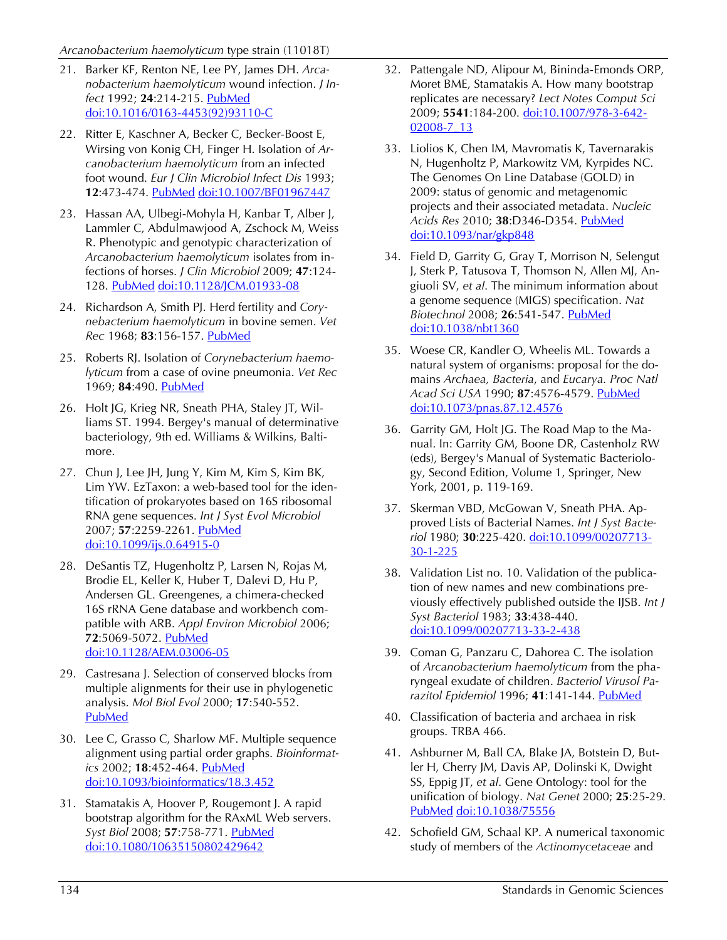- 21. Barker KF, Renton NE, Lee PY, James DH. *Arcanobacterium haemolyticum* wound infection. *J Infect* 1992; **24**:214-215. [PubMed](http://www.ncbi.nlm.nih.gov/entrez/query.fcgi?cmd=Retrieve&db=PubMed&list_uids=1569313&dopt=Abstract) [doi:10.1016/0163-4453\(92\)93110-C](http://dx.doi.org/10.1016/0163-4453(92)93110-C)
- 22. Ritter E, Kaschner A, Becker C, Becker-Boost E, Wirsing von Konig CH, Finger H. Isolation of *Arcanobacterium haemolyticum* from an infected foot wound. *Eur J Clin Microbiol Infect Dis* 1993; **12**:473-474. [PubMed](http://www.ncbi.nlm.nih.gov/entrez/query.fcgi?cmd=Retrieve&db=PubMed&list_uids=8102967&dopt=Abstract) [doi:10.1007/BF01967447](http://dx.doi.org/10.1007/BF01967447)
- 23. Hassan AA, Ulbegi-Mohyla H, Kanbar T, Alber J, Lammler C, Abdulmawjood A, Zschock M, Weiss R. Phenotypic and genotypic characterization of *Arcanobacterium haemolyticum* isolates from infections of horses. *J Clin Microbiol* 2009; **47**:124- 128. [PubMed](http://www.ncbi.nlm.nih.gov/entrez/query.fcgi?cmd=Retrieve&db=PubMed&list_uids=19020059&dopt=Abstract) [doi:10.1128/JCM.01933-08](http://dx.doi.org/10.1128/JCM.01933-08)
- 24. Richardson A, Smith PJ. Herd fertility and *Corynebacterium haemolyticum* in bovine semen. *Vet Rec* 1968; **83**:156-157. [PubMed](http://www.ncbi.nlm.nih.gov/entrez/query.fcgi?cmd=Retrieve&db=PubMed&list_uids=4952721&dopt=Abstract)
- 25. Roberts RJ. Isolation of *Corynebacterium haemolyticum* from a case of ovine pneumonia. *Vet Rec* 1969; **84**:490. [PubMed](http://www.ncbi.nlm.nih.gov/entrez/query.fcgi?cmd=Retrieve&db=PubMed&list_uids=5815912&dopt=Abstract)
- 26. Holt JG, Krieg NR, Sneath PHA, Staley JT, Williams ST. 1994. Bergey's manual of determinative bacteriology, 9th ed. Williams & Wilkins, Baltimore.
- 27. Chun J, Lee JH, Jung Y, Kim M, Kim S, Kim BK, Lim YW. EzTaxon: a web-based tool for the identification of prokaryotes based on 16S ribosomal RNA gene sequences. *Int J Syst Evol Microbiol* 2007; **57**:2259-2261. [PubMed](http://www.ncbi.nlm.nih.gov/entrez/query.fcgi?cmd=Retrieve&db=PubMed&list_uids=17911292&dopt=Abstract) [doi:10.1099/ijs.0.64915-0](http://dx.doi.org/10.1099/ijs.0.64915-0)
- 28. DeSantis TZ, Hugenholtz P, Larsen N, Rojas M, Brodie EL, Keller K, Huber T, Dalevi D, Hu P, Andersen GL. Greengenes, a chimera-checked 16S rRNA Gene database and workbench compatible with ARB. *Appl Environ Microbiol* 2006; **72**:5069-5072. [PubMed](http://www.ncbi.nlm.nih.gov/entrez/query.fcgi?cmd=Retrieve&db=PubMed&list_uids=16820507&dopt=Abstract) [doi:10.1128/AEM.03006-05](http://dx.doi.org/10.1128/AEM.03006-05)
- 29. Castresana J. Selection of conserved blocks from multiple alignments for their use in phylogenetic analysis. *Mol Biol Evol* 2000; **17**:540-552[.](http://www.ncbi.nlm.nih.gov/entrez/query.fcgi?cmd=Retrieve&db=PubMed&list_uids=10742046&dopt=Abstract) [PubMed](http://www.ncbi.nlm.nih.gov/entrez/query.fcgi?cmd=Retrieve&db=PubMed&list_uids=10742046&dopt=Abstract)
- 30. Lee C, Grasso C, Sharlow MF. Multiple sequence alignment using partial order graphs. *Bioinformatics* 2002; **18**:452-464. [PubMed](http://www.ncbi.nlm.nih.gov/entrez/query.fcgi?cmd=Retrieve&db=PubMed&list_uids=11934745&dopt=Abstract) [doi:10.1093/bioinformatics/18.3.452](http://dx.doi.org/10.1093/bioinformatics/18.3.452)
- 31. Stamatakis A, Hoover P, Rougemont J. A rapid bootstrap algorithm for the RAxML Web servers. *Syst Biol* 2008; **57**:758-771. [PubMed](http://www.ncbi.nlm.nih.gov/entrez/query.fcgi?cmd=Retrieve&db=PubMed&list_uids=18853362&dopt=Abstract) [doi:10.1080/10635150802429642](http://dx.doi.org/10.1080/10635150802429642)
- 32. Pattengale ND, Alipour M, Bininda-Emonds ORP, Moret BME, Stamatakis A. How many bootstrap replicates are necessary? *Lect Notes Comput Sci* 2009; **5541**:184-200. [doi:10.1007/978-3-642-](http://dx.doi.org/10.1007/978-3-642-02008-7_13) [02008-7\\_13](http://dx.doi.org/10.1007/978-3-642-02008-7_13)
- 33. Liolios K, Chen IM, Mavromatis K, Tavernarakis N, Hugenholtz P, Markowitz VM, Kyrpides NC. The Genomes On Line Database (GOLD) in 2009: status of genomic and metagenomic projects and their associated metadata. *Nucleic Acids Res* 2010; **38**:D346-D354. [PubMed](http://www.ncbi.nlm.nih.gov/entrez/query.fcgi?cmd=Retrieve&db=PubMed&list_uids=19914934&dopt=Abstract) [doi:10.1093/nar/gkp848](http://dx.doi.org/10.1093/nar/gkp848)
- 34. Field D, Garrity G, Gray T, Morrison N, Selengut J, Sterk P, Tatusova T, Thomson N, Allen MJ, Angiuoli SV, *et al*. The minimum information about a genome sequence (MIGS) specification. *Nat Biotechnol* 2008; **26**:541-547. [PubMed](http://www.ncbi.nlm.nih.gov/entrez/query.fcgi?cmd=Retrieve&db=PubMed&list_uids=18464787&dopt=Abstract) [doi:10.1038/nbt1360](http://dx.doi.org/10.1038/nbt1360)
- 35. Woese CR, Kandler O, Wheelis ML. Towards a natural system of organisms: proposal for the domains *Archaea, Bacteria*, and *Eucarya. Proc Natl Acad Sci USA* 1990; **87**:4576-4579. [PubMed](http://www.ncbi.nlm.nih.gov/entrez/query.fcgi?cmd=Retrieve&db=PubMed&list_uids=2112744&dopt=Abstract) [doi:10.1073/pnas.87.12.4576](http://dx.doi.org/10.1073/pnas.87.12.4576)
- 36. Garrity GM, Holt JG. The Road Map to the Manual. In: Garrity GM, Boone DR, Castenholz RW (eds), Bergey's Manual of Systematic Bacteriology, Second Edition, Volume 1, Springer, New York, 2001, p. 119-169.
- 37. Skerman VBD, McGowan V, Sneath PHA. Approved Lists of Bacterial Names. *Int J Syst Bacteriol* 1980; **30**:225-420. [doi:10.1099/00207713-](http://dx.doi.org/10.1099/00207713-30-1-225) [30-1-225](http://dx.doi.org/10.1099/00207713-30-1-225)
- 38. Validation List no. 10. Validation of the publication of new names and new combinations previously effectively published outside the IJSB. *Int J Syst Bacteriol* 1983; **33**:438-440. [doi:10.1099/00207713-33-2-438](http://dx.doi.org/10.1099/00207713-33-2-438)
- 39. Coman G, Panzaru C, Dahorea C. The isolation of *Arcanobacterium haemolyticum* from the pharyngeal exudate of children. *Bacteriol Virusol Parazitol Epidemiol* 1996; **41**:141-144. [PubMed](http://www.ncbi.nlm.nih.gov/entrez/query.fcgi?cmd=Retrieve&db=PubMed&list_uids=9116402&dopt=Abstract)
- 40. Classification of bacteria and archaea in risk groups. TRBA 466.
- 41. Ashburner M, Ball CA, Blake JA, Botstein D, Butler H, Cherry JM, Davis AP, Dolinski K, Dwight SS, Eppig JT, *et al*. Gene Ontology: tool for the unification of biology. *Nat Genet* 2000; **25**:25-29[.](http://www.ncbi.nlm.nih.gov/entrez/query.fcgi?cmd=Retrieve&db=PubMed&list_uids=10802651&dopt=Abstract) [PubMed](http://www.ncbi.nlm.nih.gov/entrez/query.fcgi?cmd=Retrieve&db=PubMed&list_uids=10802651&dopt=Abstract) [doi:10.1038/75556](http://dx.doi.org/10.1038/75556)
- 42. Schofield GM, Schaal KP. A numerical taxonomic study of members of the *Actinomycetaceae* and